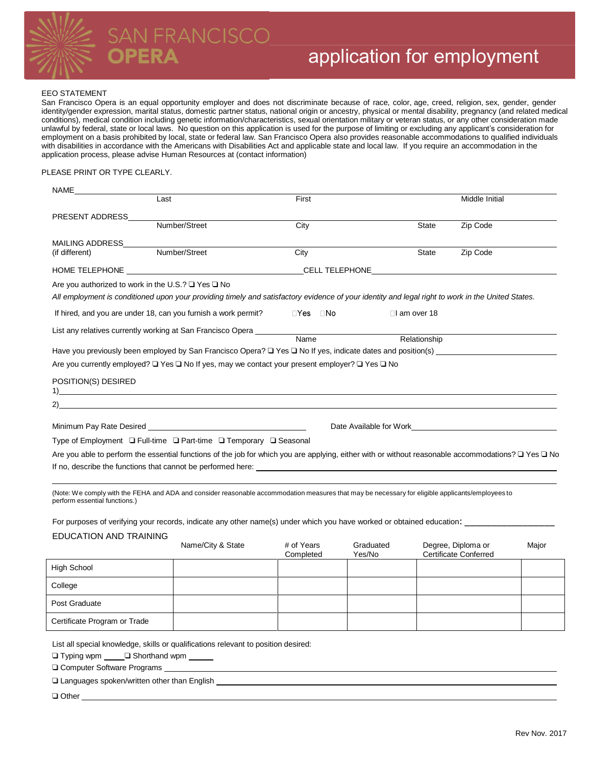

# PERA

### EEO STATEMENT

San Francisco Opera is an equal opportunity employer and does not discriminate because of race, color, age, creed, religion, sex, gender, gender identity/gender expression, marital status, domestic partner status, national origin or ancestry, physical or mental disability, pregnancy (and related medical conditions), medical condition including genetic information/characteristics, sexual orientation military or veteran status, or any other consideration made unlawful by federal, state or local laws. No question on this application is used for the purpose of limiting or excluding any applicant's consideration for employment on a basis prohibited by local, state or federal law. San Francisco Opera also provides reasonable accommodations to qualified individuals with disabilities in accordance with the Americans with Disabilities Act and applicable state and local law. If you require an accommodation in the application process, please advise Human Resources at (contact information)

### PLEASE PRINT OR TYPE CLEARLY.

| NAME                          |                                                                                                                                                               |                         |                     |                   |                                                    |       |
|-------------------------------|---------------------------------------------------------------------------------------------------------------------------------------------------------------|-------------------------|---------------------|-------------------|----------------------------------------------------|-------|
|                               | Last                                                                                                                                                          | First                   |                     |                   | Middle Initial                                     |       |
| PRESENT ADDRESS               |                                                                                                                                                               |                         |                     |                   |                                                    |       |
|                               | Number/Street                                                                                                                                                 | City                    |                     | <b>State</b>      | Zip Code                                           |       |
| MAILING ADDRESS______         | Number/Street                                                                                                                                                 | City                    |                     | <b>State</b>      | Zip Code                                           |       |
| (if different)                |                                                                                                                                                               |                         |                     |                   |                                                    |       |
|                               |                                                                                                                                                               |                         |                     |                   |                                                    |       |
|                               | Are you authorized to work in the U.S.? $\square$ Yes $\square$ No                                                                                            |                         |                     |                   |                                                    |       |
|                               | All employment is conditioned upon your providing timely and satisfactory evidence of your identity and legal right to work in the United States.             |                         |                     |                   |                                                    |       |
|                               | If hired, and you are under 18, can you furnish a work permit?                                                                                                | ⊡Yes ⊡No                |                     | $\Box$ am over 18 |                                                    |       |
|                               | List any relatives currently working at San Francisco Opera _____________________                                                                             |                         |                     |                   |                                                    |       |
|                               |                                                                                                                                                               | Name                    |                     | Relationship      |                                                    |       |
|                               |                                                                                                                                                               |                         |                     |                   |                                                    |       |
|                               | Are you currently employed? □ Yes □ No If yes, may we contact your present employer? □ Yes □ No                                                               |                         |                     |                   |                                                    |       |
| POSITION(S) DESIRED           |                                                                                                                                                               |                         |                     |                   |                                                    |       |
|                               | $\frac{1}{2}$                                                                                                                                                 |                         |                     |                   |                                                    |       |
| 2)                            | <u> 1980 - Johann Barn, fransk politik (f. 1980)</u>                                                                                                          |                         |                     |                   |                                                    |       |
|                               | Minimum Pay Rate Desired <b>Minimum Pay Rate Desired</b>                                                                                                      |                         |                     |                   |                                                    |       |
|                               | Type of Employment □ Full-time □ Part-time □ Temporary □ Seasonal                                                                                             |                         |                     |                   |                                                    |       |
|                               | Are you able to perform the essential functions of the job for which you are applying, either with or without reasonable accommodations? $\Box$ Yes $\Box$ No |                         |                     |                   |                                                    |       |
|                               |                                                                                                                                                               |                         |                     |                   |                                                    |       |
|                               |                                                                                                                                                               |                         |                     |                   |                                                    |       |
| perform essential functions.) | (Note: We comply with the FEHA and ADA and consider reasonable accommodation measures that may be necessary for eligible applicants/employees to              |                         |                     |                   |                                                    |       |
|                               |                                                                                                                                                               |                         |                     |                   |                                                    |       |
|                               | For purposes of verifying your records, indicate any other name(s) under which you have worked or obtained education:                                         |                         |                     |                   |                                                    |       |
| <b>EDUCATION AND TRAINING</b> |                                                                                                                                                               |                         |                     |                   |                                                    |       |
|                               | Name/City & State                                                                                                                                             | # of Years<br>Completed | Graduated<br>Yes/No |                   | Degree, Diploma or<br><b>Certificate Conferred</b> | Major |
| <b>High School</b>            |                                                                                                                                                               |                         |                     |                   |                                                    |       |
| College                       |                                                                                                                                                               |                         |                     |                   |                                                    |       |
| Post Graduate                 |                                                                                                                                                               |                         |                     |                   |                                                    |       |
| Certificate Program or Trade  |                                                                                                                                                               |                         |                     |                   |                                                    |       |
|                               |                                                                                                                                                               |                         |                     |                   |                                                    |       |

List all special knowledge, skills or qualifications relevant to position desired:

❑ Typing wpm ❑ Shorthand wpm

❑ Computer Software Programs

|  | □ Languages spoken/written other than English |  |
|--|-----------------------------------------------|--|
|  |                                               |  |

❑ Other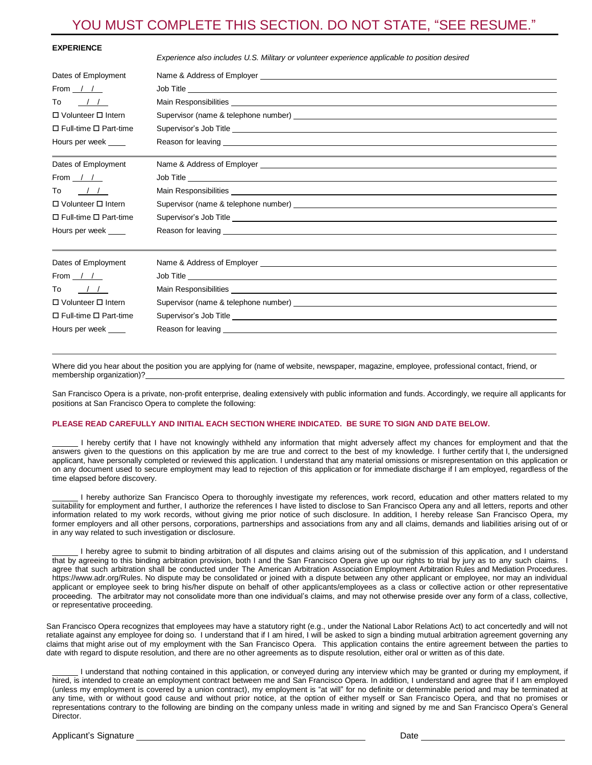## YOU MUST COMPLETE THIS SECTION. DO NOT STATE, "SEE RESUME."

| <b>EXPERIENCE</b>                 | Experience also includes U.S. Military or volunteer experience applicable to position desired                                                                                                                                        |  |  |  |
|-----------------------------------|--------------------------------------------------------------------------------------------------------------------------------------------------------------------------------------------------------------------------------------|--|--|--|
| Dates of Employment               |                                                                                                                                                                                                                                      |  |  |  |
| From / /                          |                                                                                                                                                                                                                                      |  |  |  |
| To<br>$\frac{1}{2}$               |                                                                                                                                                                                                                                      |  |  |  |
| $\Box$ Volunteer $\Box$ Intern    |                                                                                                                                                                                                                                      |  |  |  |
| $\Box$ Full-time $\Box$ Part-time |                                                                                                                                                                                                                                      |  |  |  |
| Hours per week                    |                                                                                                                                                                                                                                      |  |  |  |
|                                   | the contract of the contract of the contract of the contract of the contract of the contract of the contract of                                                                                                                      |  |  |  |
| Dates of Employment               |                                                                                                                                                                                                                                      |  |  |  |
| From / /                          |                                                                                                                                                                                                                                      |  |  |  |
| To<br>$\frac{1}{2}$               |                                                                                                                                                                                                                                      |  |  |  |
| □ Volunteer □ Intern              | Supervisor (name & telephone number) supervisor of the state of the state of the state of the state of the state of the state of the state of the state of the state of the state of the state of the state of the state of th       |  |  |  |
| $\Box$ Full-time $\Box$ Part-time |                                                                                                                                                                                                                                      |  |  |  |
| Hours per week                    |                                                                                                                                                                                                                                      |  |  |  |
|                                   |                                                                                                                                                                                                                                      |  |  |  |
| Dates of Employment               |                                                                                                                                                                                                                                      |  |  |  |
| From / /                          | Job Title <u>Samuel Advisory and the series of the series of the series of the series of the series of the series of the series of the series of the series of the series of the series of the series of the series of the serie</u> |  |  |  |
| $\frac{1}{2}$<br>To               |                                                                                                                                                                                                                                      |  |  |  |
| □ Volunteer □ Intern              |                                                                                                                                                                                                                                      |  |  |  |
| $\Box$ Full-time $\Box$ Part-time |                                                                                                                                                                                                                                      |  |  |  |
| Hours per week                    | Reason for leaving the control of the control of the control of the control of the control of the control of the control of the control of the control of the control of the control of the control of the control of the cont       |  |  |  |
|                                   |                                                                                                                                                                                                                                      |  |  |  |

Where did you hear about the position you are applying for (name of website, newspaper, magazine, employee, professional contact, friend, or membership organization)?

San Francisco Opera is a private, non-profit enterprise, dealing extensively with public information and funds. Accordingly, we require all applicants for positions at San Francisco Opera to complete the following:

### **PLEASE READ CAREFULLY AND INITIAL EACH SECTION WHERE INDICATED. BE SURE TO SIGN AND DATE BELOW.**

 I hereby certify that I have not knowingly withheld any information that might adversely affect my chances for employment and that the answers given to the questions on this application by me are true and correct to the best of my knowledge. I further certify that I, the undersigned applicant, have personally completed or reviewed this application. I understand that any material omissions or misrepresentation on this application or on any document used to secure employment may lead to rejection of this application or for immediate discharge if I am employed, regardless of the time elapsed before discovery.

 I hereby authorize San Francisco Opera to thoroughly investigate my references, work record, education and other matters related to my suitability for employment and further, I authorize the references I have listed to disclose to San Francisco Opera any and all letters, reports and other information related to my work records, without giving me prior notice of such disclosure. In addition, I hereby release San Francisco Opera, my former employers and all other persons, corporations, partnerships and associations from any and all claims, demands and liabilities arising out of or in any way related to such investigation or disclosure.

 I hereby agree to submit to binding arbitration of all disputes and claims arising out of the submission of this application, and I understand that by agreeing to this binding arbitration provision, both I and the San Francisco Opera give up our rights to trial by jury as to any such claims. I agree that such arbitration shall be conducted under The American Arbitration Association Employment Arbitration Rules and Mediation Procedures. https://www.adr.org/Rules. No dispute may be consolidated or joined with a dispute between any other applicant or employee, nor may an individual applicant or employee seek to bring his/her dispute on behalf of other applicants/employees as a class or collective action or other representative proceeding. The arbitrator may not consolidate more than one individual's claims, and may not otherwise preside over any form of a class, collective, or representative proceeding.

San Francisco Opera recognizes that employees may have a statutory right (e.g., under the National Labor Relations Act) to act concertedly and will not retaliate against any employee for doing so. I understand that if I am hired, I will be asked to sign a binding mutual arbitration agreement governing any claims that might arise out of my employment with the San Francisco Opera. This application contains the entire agreement between the parties to date with regard to dispute resolution, and there are no other agreements as to dispute resolution, either oral or written as of this date.

 I understand that nothing contained in this application, or conveyed during any interview which may be granted or during my employment, if hired, is intended to create an employment contract between me and San Francisco Opera. In addition, I understand and agree that if I am employed (unless my employment is covered by a union contract), my employment is "at will" for no definite or determinable period and may be terminated at any time, with or without good cause and without prior notice, at the option of either myself or San Francisco Opera, and that no promises or representations contrary to the following are binding on the company unless made in writing and signed by me and San Francisco Opera's General **Director**